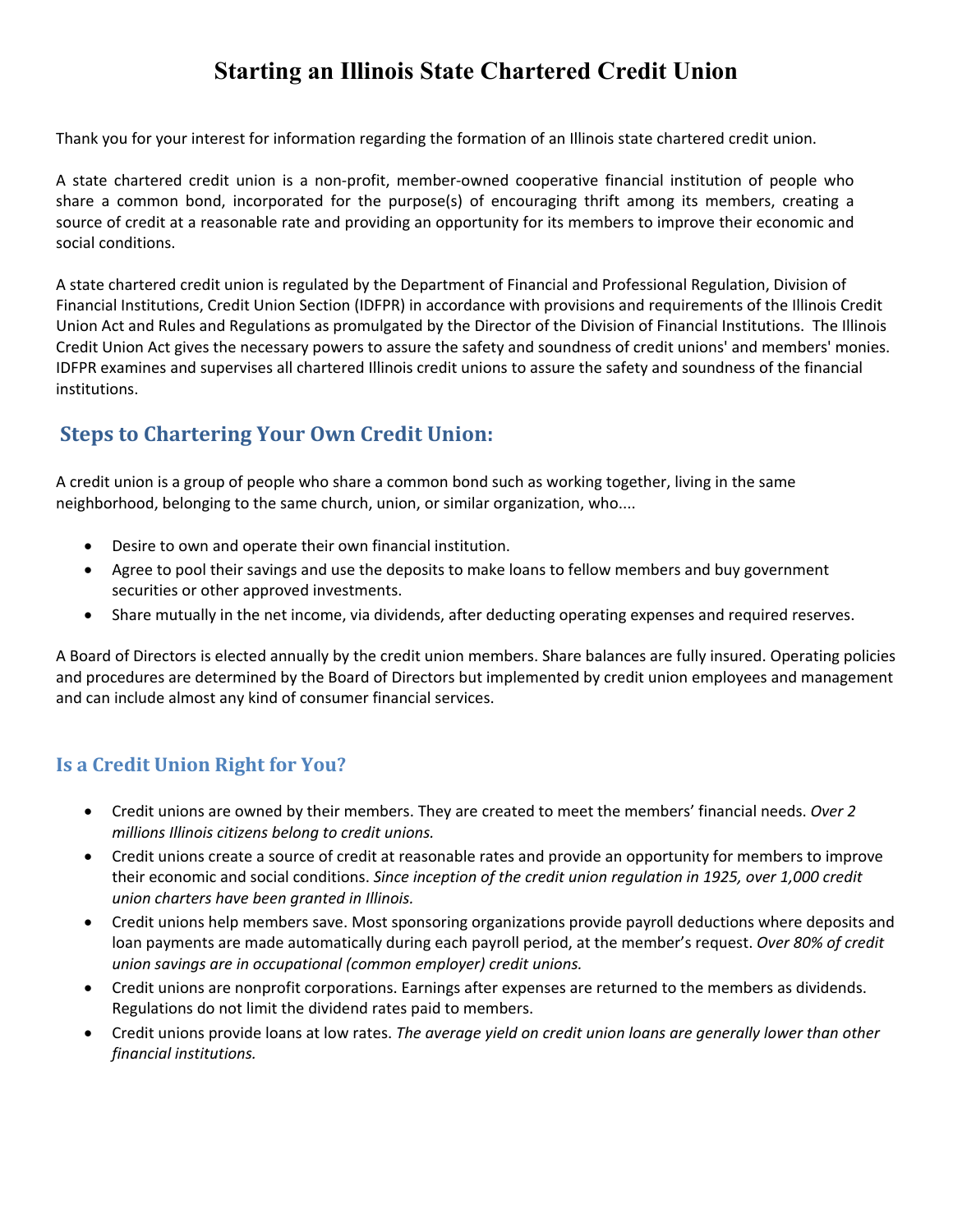## **Starting an Illinois State Chartered Credit Union**

Thank you for your interest for information regarding the formation of an Illinois state chartered credit union.

A state chartered credit union is a non‐profit, member‐owned cooperative financial institution of people who share a common bond, incorporated for the purpose(s) of encouraging thrift among its members, creating a source of credit at a reasonable rate and providing an opportunity for its members to improve their economic and social conditions.

A state chartered credit union is regulated by the Department of Financial and Professional Regulation, Division of Financial Institutions, Credit Union Section (IDFPR) in accordance with provisions and requirements of the Illinois Credit Union Act and Rules and Regulations as promulgated by the Director of the Division of Financial Institutions. The Illinois Credit Union Act gives the necessary powers to assure the safety and soundness of credit unions' and members' monies. IDFPR examines and supervises all chartered Illinois credit unions to assure the safety and soundness of the financial institutions.

## **Steps to Chartering Your Own Credit Union:**

A credit union is a group of people who share a common bond such as working together, living in the same neighborhood, belonging to the same church, union, or similar organization, who....

- Desire to own and operate their own financial institution.
- Agree to pool their savings and use the deposits to make loans to fellow members and buy government securities or other approved investments.
- Share mutually in the net income, via dividends, after deducting operating expenses and required reserves.

A Board of Directors is elected annually by the credit union members. Share balances are fully insured. Operating policies and procedures are determined by the Board of Directors but implemented by credit union employees and management and can include almost any kind of consumer financial services.

## **Is a Credit Union Right for You?**

- Credit unions are owned by their members. They are created to meet the members' financial needs. *Over 2 millions Illinois citizens belong to credit unions.*
- Credit unions create a source of credit at reasonable rates and provide an opportunity for members to improve their economic and social conditions. *Since inception of the credit union regulation in 1925, over 1,000 credit union charters have been granted in Illinois.*
- Credit unions help members save. Most sponsoring organizations provide payroll deductions where deposits and loan payments are made automatically during each payroll period, at the member's request. *Over 80% of credit union savings are in occupational (common employer) credit unions.*
- Credit unions are nonprofit corporations. Earnings after expenses are returned to the members as dividends. Regulations do not limit the dividend rates paid to members.
- Credit unions provide loans at low rates. *The average yield on credit union loans are generally lower than other financial institutions.*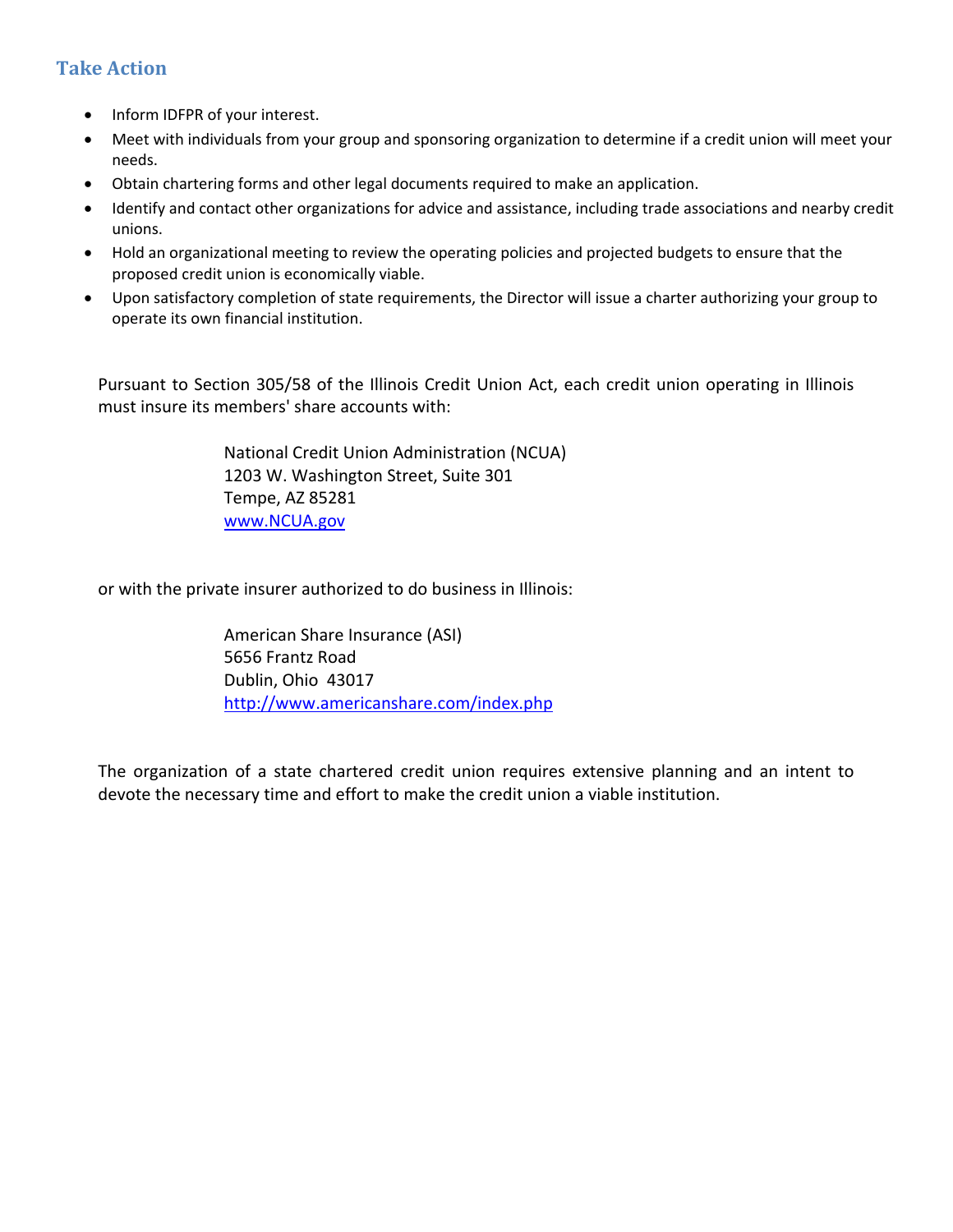## **Take Action**

- Inform IDFPR of your interest.
- Meet with individuals from your group and sponsoring organization to determine if a credit union will meet your needs.
- Obtain chartering forms and other legal documents required to make an application.
- Identify and contact other organizations for advice and assistance, including trade associations and nearby credit unions.
- Hold an organizational meeting to review the operating policies and projected budgets to ensure that the proposed credit union is economically viable.
- Upon satisfactory completion of state requirements, the Director will issue a charter authorizing your group to operate its own financial institution.

Pursuant to Section 305/58 of the Illinois Credit Union Act, each credit union operating in Illinois must insure its members' share accounts with:

> National Credit Union Administration (NCUA) 1203 W. Washington Street, Suite 301 Tempe, AZ 85281 www.NCUA.gov

or with the private insurer authorized to do business in Illinois:

 American Share Insurance (ASI) 5656 Frantz Road Dublin, Ohio 43017 http://www.americanshare.com/index.php

The organization of a state chartered credit union requires extensive planning and an intent to devote the necessary time and effort to make the credit union a viable institution.